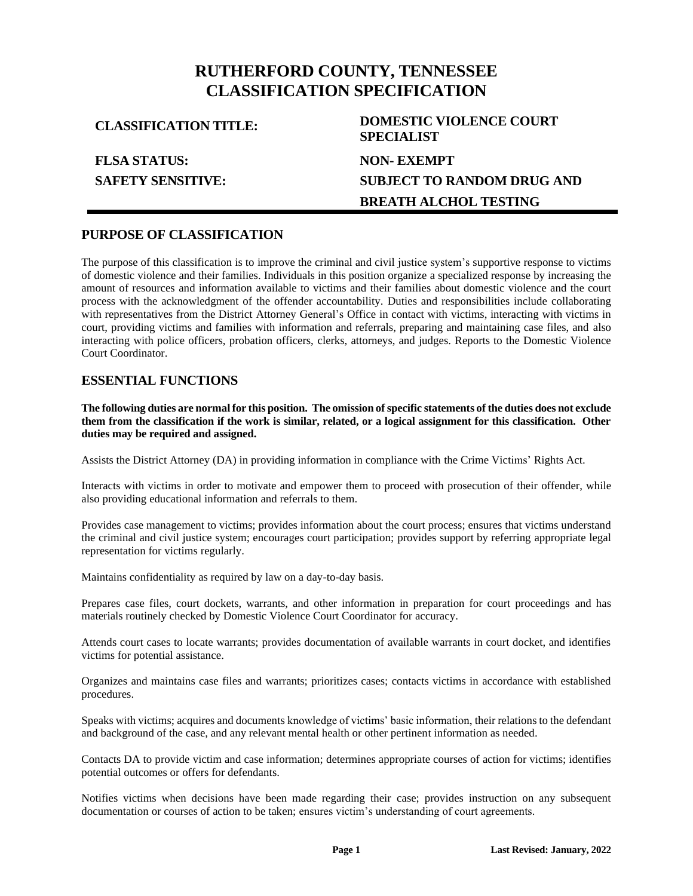# **RUTHERFORD COUNTY, TENNESSEE CLASSIFICATION SPECIFICATION**

**FLSA STATUS: SAFETY SENSITIVE:**

# **CLASSIFICATION TITLE: DOMESTIC VIOLENCE COURT SPECIALIST NON- EXEMPT SUBJECT TO RANDOM DRUG AND BREATH ALCHOL TESTING**

## **PURPOSE OF CLASSIFICATION**

The purpose of this classification is to improve the criminal and civil justice system's supportive response to victims of domestic violence and their families. Individuals in this position organize a specialized response by increasing the amount of resources and information available to victims and their families about domestic violence and the court process with the acknowledgment of the offender accountability. Duties and responsibilities include collaborating with representatives from the District Attorney General's Office in contact with victims, interacting with victims in court, providing victims and families with information and referrals, preparing and maintaining case files, and also interacting with police officers, probation officers, clerks, attorneys, and judges. Reports to the Domestic Violence Court Coordinator.

### **ESSENTIAL FUNCTIONS**

**The following duties are normal for this position. The omission of specific statements of the duties does not exclude them from the classification if the work is similar, related, or a logical assignment for this classification. Other duties may be required and assigned.**

Assists the District Attorney (DA) in providing information in compliance with the Crime Victims' Rights Act.

Interacts with victims in order to motivate and empower them to proceed with prosecution of their offender, while also providing educational information and referrals to them.

Provides case management to victims; provides information about the court process; ensures that victims understand the criminal and civil justice system; encourages court participation; provides support by referring appropriate legal representation for victims regularly.

Maintains confidentiality as required by law on a day-to-day basis.

Prepares case files, court dockets, warrants, and other information in preparation for court proceedings and has materials routinely checked by Domestic Violence Court Coordinator for accuracy.

Attends court cases to locate warrants; provides documentation of available warrants in court docket, and identifies victims for potential assistance.

Organizes and maintains case files and warrants; prioritizes cases; contacts victims in accordance with established procedures.

Speaks with victims; acquires and documents knowledge of victims' basic information, their relations to the defendant and background of the case, and any relevant mental health or other pertinent information as needed.

Contacts DA to provide victim and case information; determines appropriate courses of action for victims; identifies potential outcomes or offers for defendants.

Notifies victims when decisions have been made regarding their case; provides instruction on any subsequent documentation or courses of action to be taken; ensures victim's understanding of court agreements.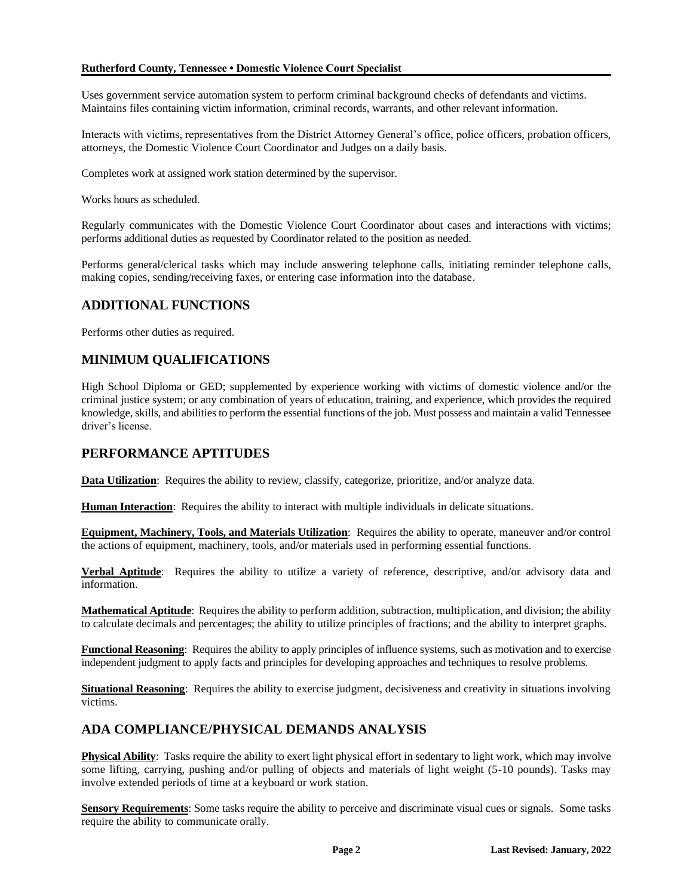#### **Rutherford County, Tennessee • Domestic Violence Court Specialist**

Uses government service automation system to perform criminal background checks of defendants and victims. Maintains files containing victim information, criminal records, warrants, and other relevant information.

Interacts with victims, representatives from the District Attorney General's office, police officers, probation officers, attorneys, the Domestic Violence Court Coordinator and Judges on a daily basis.

Completes work at assigned work station determined by the supervisor.

Works hours as scheduled.

Regularly communicates with the Domestic Violence Court Coordinator about cases and interactions with victims; performs additional duties as requested by Coordinator related to the position as needed.

Performs general/clerical tasks which may include answering telephone calls, initiating reminder telephone calls, making copies, sending/receiving faxes, or entering case information into the database.

## **ADDITIONAL FUNCTIONS**

Performs other duties as required.

## **MINIMUM QUALIFICATIONS**

High School Diploma or GED; supplemented by experience working with victims of domestic violence and/or the criminal justice system; or any combination of years of education, training, and experience, which provides the required knowledge, skills, and abilities to perform the essential functions of the job. Must possess and maintain a valid Tennessee driver's license.

## **PERFORMANCE APTITUDES**

**Data Utilization**: Requires the ability to review, classify, categorize, prioritize, and/or analyze data.

**Human Interaction**: Requires the ability to interact with multiple individuals in delicate situations.

**Equipment, Machinery, Tools, and Materials Utilization**: Requires the ability to operate, maneuver and/or control the actions of equipment, machinery, tools, and/or materials used in performing essential functions.

**Verbal Aptitude**: Requires the ability to utilize a variety of reference, descriptive, and/or advisory data and information.

**Mathematical Aptitude**: Requires the ability to perform addition, subtraction, multiplication, and division; the ability to calculate decimals and percentages; the ability to utilize principles of fractions; and the ability to interpret graphs.

**Functional Reasoning**: Requires the ability to apply principles of influence systems, such as motivation and to exercise independent judgment to apply facts and principles for developing approaches and techniques to resolve problems.

**Situational Reasoning**: Requires the ability to exercise judgment, decisiveness and creativity in situations involving victims.

## **ADA COMPLIANCE/PHYSICAL DEMANDS ANALYSIS**

**Physical Ability**: Tasks require the ability to exert light physical effort in sedentary to light work, which may involve some lifting, carrying, pushing and/or pulling of objects and materials of light weight (5-10 pounds). Tasks may involve extended periods of time at a keyboard or work station.

**Sensory Requirements**: Some tasks require the ability to perceive and discriminate visual cues or signals. Some tasks require the ability to communicate orally.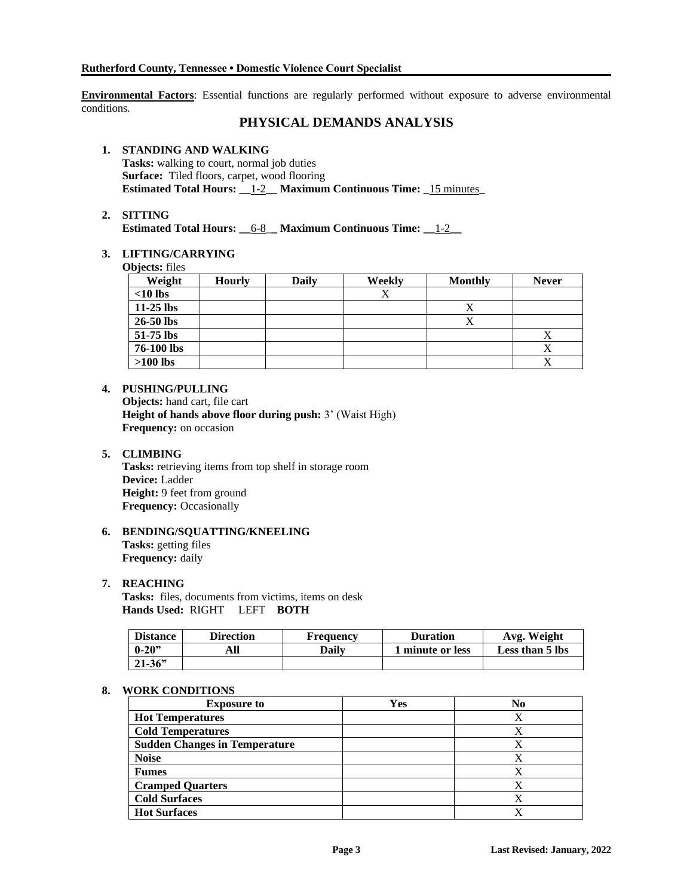**Environmental Factors**: Essential functions are regularly performed without exposure to adverse environmental conditions.

## **PHYSICAL DEMANDS ANALYSIS**

### **1. STANDING AND WALKING**

**Tasks:** walking to court, normal job duties **Surface:** Tiled floors, carpet, wood flooring **Estimated Total Hours: \_\_\_ 1-2 Maximum Continuous Time: \_\_ 15 minutes** 

#### **2. SITTING**

**Estimated Total Hours: \_\_**6-8\_**\_ Maximum Continuous Time: \_\_**1-2**\_\_**

#### **3. LIFTING/CARRYING**

**Objects:** files

| Weight      | <b>Hourly</b> | <b>Daily</b> | Weekly | <b>Monthly</b> | <b>Never</b> |
|-------------|---------------|--------------|--------|----------------|--------------|
| $<$ 10 lbs  |               |              | Х      |                |              |
| $11-25$ lbs |               |              |        | △              |              |
| 26-50 lbs   |               |              |        |                |              |
| 51-75 lbs   |               |              |        |                | Δ            |
| 76-100 lbs  |               |              |        |                |              |
| $>100$ lbs  |               |              |        |                | △            |

#### **4. PUSHING/PULLING**

**Objects:** hand cart, file cart **Height of hands above floor during push:** 3' (Waist High) **Frequency:** on occasion

#### **5. CLIMBING**

**Tasks:** retrieving items from top shelf in storage room **Device:** Ladder **Height:** 9 feet from ground **Frequency:** Occasionally

#### **6. BENDING/SQUATTING/KNEELING Tasks:** getting files **Frequency:** daily

#### **7. REACHING**

**Tasks:** files, documents from victims, items on desk **Hands Used:** RIGHT LEFT **BOTH**

| <b>Distance</b> | Direction | Frequency    | <b>Duration</b>         | Avg. Weight     |
|-----------------|-----------|--------------|-------------------------|-----------------|
| $ 0-20"$        | All       | <b>Daily</b> | <b>1 minute or less</b> | Less than 5 lbs |
| $21 - 36$       |           |              |                         |                 |

#### **8. WORK CONDITIONS**

| <b>Exposure to</b>                   | Yes | No |
|--------------------------------------|-----|----|
| <b>Hot Temperatures</b>              |     |    |
| <b>Cold Temperatures</b>             |     |    |
| <b>Sudden Changes in Temperature</b> |     |    |
| <b>Noise</b>                         |     |    |
| <b>Fumes</b>                         |     |    |
| <b>Cramped Quarters</b>              |     |    |
| <b>Cold Surfaces</b>                 |     |    |
| <b>Hot Surfaces</b>                  |     |    |